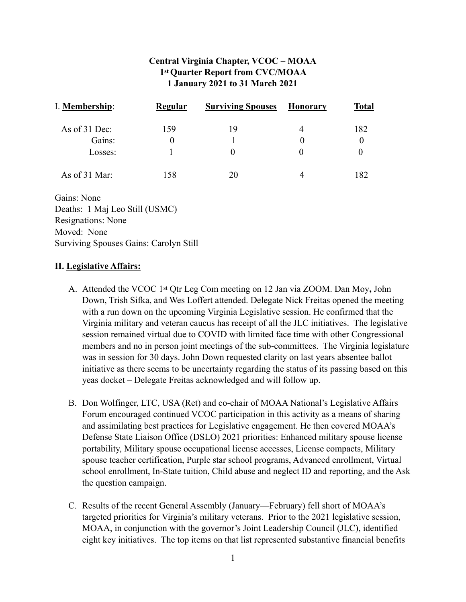# **Central Virginia Chapter, VCOC – MOAA 1st Quarter Report from CVC/MOAA 1 January 2021 to 31 March 2021**

| I. Membership: | Regular | <b>Surviving Spouses</b> | <b>Honorary</b> | <b>Total</b> |
|----------------|---------|--------------------------|-----------------|--------------|
| As of 31 Dec:  | 159     | 19                       | 4               | 182          |
| Gains:         |         |                          |                 |              |
| Losses:        |         |                          |                 |              |
| As of 31 Mar:  | 158     | 20                       |                 | 182          |

Gains: None Deaths: 1 Maj Leo Still (USMC) Resignations: None Moved: None Surviving Spouses Gains: Carolyn Still

#### **II. Legislative Affairs:**

- A. Attended the VCOC 1st Qtr Leg Com meeting on 12 Jan via ZOOM. Dan Moy**,** John Down, Trish Sifka, and Wes Loffert attended. Delegate Nick Freitas opened the meeting with a run down on the upcoming Virginia Legislative session. He confirmed that the Virginia military and veteran caucus has receipt of all the JLC initiatives. The legislative session remained virtual due to COVID with limited face time with other Congressional members and no in person joint meetings of the sub-committees. The Virginia legislature was in session for 30 days. John Down requested clarity on last years absentee ballot initiative as there seems to be uncertainty regarding the status of its passing based on this yeas docket – Delegate Freitas acknowledged and will follow up.
- B. Don Wolfinger, LTC, USA (Ret) and co-chair of MOAA National's Legislative Affairs Forum encouraged continued VCOC participation in this activity as a means of sharing and assimilating best practices for Legislative engagement. He then covered MOAA's Defense State Liaison Office (DSLO) 2021 priorities: Enhanced military spouse license portability, Military spouse occupational license accesses, License compacts, Military spouse teacher certification, Purple star school programs, Advanced enrollment, Virtual school enrollment, In-State tuition, Child abuse and neglect ID and reporting, and the Ask the question campaign.
- C. Results of the recent General Assembly (January—February) fell short of MOAA's targeted priorities for Virginia's military veterans. Prior to the 2021 legislative session, MOAA, in conjunction with the governor's Joint Leadership Council (JLC), identified eight key initiatives. The top items on that list represented substantive financial benefits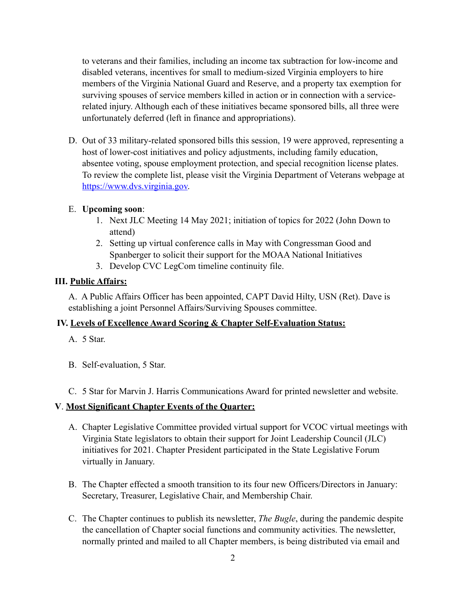to veterans and their families, including an income tax subtraction for low-income and disabled veterans, incentives for small to medium-sized Virginia employers to hire members of the Virginia National Guard and Reserve, and a property tax exemption for surviving spouses of service members killed in action or in connection with a servicerelated injury. Although each of these initiatives became sponsored bills, all three were unfortunately deferred (left in finance and appropriations).

D. Out of 33 military-related sponsored bills this session, 19 were approved, representing a host of lower-cost initiatives and policy adjustments, including family education, absentee voting, spouse employment protection, and special recognition license plates. To review the complete list, please visit the Virginia Department of Veterans webpage at [https://www.dvs.virginia.gov.](https://www.dvs.virginia.gov)

### E. **Upcoming soon**:

- 1. Next JLC Meeting 14 May 2021; initiation of topics for 2022 (John Down to attend)
- 2. Setting up virtual conference calls in May with Congressman Good and Spanberger to solicit their support for the MOAA National Initiatives
- 3. Develop CVC LegCom timeline continuity file.

### **III. Public Affairs:**

A. A Public Affairs Officer has been appointed, CAPT David Hilty, USN (Ret). Dave is establishing a joint Personnel Affairs/Surviving Spouses committee.

# **IV. Levels of Excellence Award Scoring & Chapter Self-Evaluation Status:**

- A. 5 Star.
- B. Self-evaluation, 5 Star.
- C. 5 Star for Marvin J. Harris Communications Award for printed newsletter and website.

### **V**. **Most Significant Chapter Events of the Quarter:**

- A. Chapter Legislative Committee provided virtual support for VCOC virtual meetings with Virginia State legislators to obtain their support for Joint Leadership Council (JLC) initiatives for 2021. Chapter President participated in the State Legislative Forum virtually in January.
- B. The Chapter effected a smooth transition to its four new Officers/Directors in January: Secretary, Treasurer, Legislative Chair, and Membership Chair.
- C. The Chapter continues to publish its newsletter, *The Bugle*, during the pandemic despite the cancellation of Chapter social functions and community activities. The newsletter, normally printed and mailed to all Chapter members, is being distributed via email and